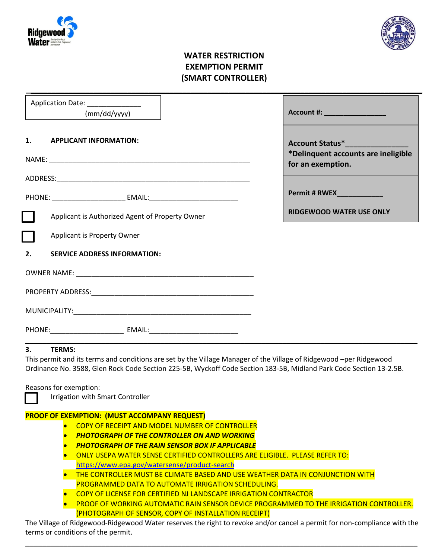



## **WATER RESTRICTION EXEMPTION PERMIT (SMART CONTROLLER)**

| Application Date: _______________                                                                                                                                                                                                                                                                                             |                                                                                       |
|-------------------------------------------------------------------------------------------------------------------------------------------------------------------------------------------------------------------------------------------------------------------------------------------------------------------------------|---------------------------------------------------------------------------------------|
| (mm/dd/yyy)                                                                                                                                                                                                                                                                                                                   | Account #: New York Product 2014                                                      |
| 1.<br><b>APPLICANT INFORMATION:</b>                                                                                                                                                                                                                                                                                           | Account Status* The Count<br>*Delinquent accounts are ineligible<br>for an exemption. |
|                                                                                                                                                                                                                                                                                                                               |                                                                                       |
|                                                                                                                                                                                                                                                                                                                               | <b>Permit # RWEX_____________</b>                                                     |
| Applicant is Authorized Agent of Property Owner                                                                                                                                                                                                                                                                               | <b>RIDGEWOOD WATER USE ONLY</b>                                                       |
| Applicant is Property Owner                                                                                                                                                                                                                                                                                                   |                                                                                       |
| 2.<br><b>SERVICE ADDRESS INFORMATION:</b>                                                                                                                                                                                                                                                                                     |                                                                                       |
|                                                                                                                                                                                                                                                                                                                               |                                                                                       |
|                                                                                                                                                                                                                                                                                                                               |                                                                                       |
|                                                                                                                                                                                                                                                                                                                               |                                                                                       |
|                                                                                                                                                                                                                                                                                                                               |                                                                                       |
| 3.<br><b>TERMS:</b><br>This permit and its terms and conditions are set by the Village Manager of the Village of Ridgewood -per Ridgewood<br>Ordinance No. 3588, Glen Rock Code Section 225-5B, Wyckoff Code Section 183-5B, Midland Park Code Section 13-2.5B.<br>Reasons for exemption:<br>Irrigation with Smart Controller |                                                                                       |
| <b>PROOF OF EXEMPTION: (MUST ACCOMPANY REQUEST)</b>                                                                                                                                                                                                                                                                           |                                                                                       |
| COPY OF RECEIPT AND MODEL NUMBER OF CONTROLLER                                                                                                                                                                                                                                                                                |                                                                                       |
| <b>PHOTOGRAPH OF THE CONTROLLER ON AND WORKING</b>                                                                                                                                                                                                                                                                            |                                                                                       |

- *PHOTOGRAPH OF THE RAIN SENSOR BOX IF APPLICABLE*
- ONLY USEPA WATER SENSE CERTIFIED CONTROLLERS ARE ELIGIBLE. PLEASE REFER TO: <https://www.epa.gov/watersense/product-search>
- THE CONTROLLER MUST BE CLIMATE BASED AND USE WEATHER DATA IN CONJUNCTION WITH PROGRAMMED DATA TO AUTOMATE IRRIGATION SCHEDULING.
- **COPY OF LICENSE FOR CERTIFIED NJ LANDSCAPE IRRIGATION CONTRACTOR**
- **PROOF OF WORKING AUTOMATIC RAIN SENSOR DEVICE PROGRAMMED TO THE IRRIGATION CONTROLLER.** (PHOTOGRAPH OF SENSOR, COPY OF INSTALLATION RECEIPT)

The Village of Ridgewood-Ridgewood Water reserves the right to revoke and/or cancel a permit for non-compliance with the terms or conditions of the permit.

**\_\_\_\_\_\_\_\_\_\_\_\_\_\_\_\_\_\_\_\_\_\_\_\_\_\_\_\_\_\_\_\_\_\_\_\_\_\_\_\_\_\_\_\_\_\_\_\_\_\_\_\_\_\_\_\_\_\_\_\_\_\_\_\_\_\_\_\_\_\_\_\_\_\_\_\_\_\_\_\_\_\_\_\_\_\_\_\_\_\_\_\_\_**